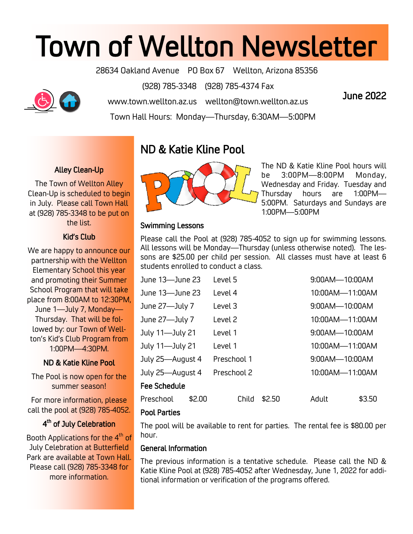# Town of Wellton Newsletter

28634 Oakland Avenue PO Box 67 Wellton, Arizona 85356

(928) 785-3348 (928) 785-4374 Fax



www.town.wellton.az.us wellton@town.wellton.az.us

Town Hall Hours: Monday—Thursday, 6:30AM—5:00PM

## June 2022

## Alley Clean-Up

The Town of Wellton Alley Clean-Up is scheduled to begin in July. Please call Town Hall at (928) 785-3348 to be put on the list.

## Kid's Club

We are happy to announce our partnership with the Wellton Elementary School this year and promoting their Summer School Program that will take place from 8:00AM to 12:30PM, June 1—July 7, Monday— Thursday. That will be followed by: our Town of Wellton's Kid's Club Program from 1:00PM—4:30PM.

## ND & Katie Kline Pool

The Pool is now open for the summer season!

For more information, please call the pool at (928) 785-4052.

## 4<sup>th</sup> of July Celebration

Booth Applications for the 4<sup>th</sup> of July Celebration at Butterfield Park are available at Town Hall. Please call (928) 785-3348 for more information.

## ND & Katie Kline Pool



The ND & Katie Kline Pool hours will be 3:00PM—8:00PM Monday, Wednesday and Friday. Tuesday and Thursday hours are 1:00PM— 5:00PM. Saturdays and Sundays are 1:00PM—5:00PM

## Swimming Lessons

Please call the Pool at (928) 785-4052 to sign up for swimming lessons. All lessons will be Monday—Thursday (unless otherwise noted). The lessons are \$25.00 per child per session. All classes must have at least 6 students enrolled to conduct a class.

| June 13-June 23     |        | Level 5     |        |       | 9:00AM-10:00AM  |        |  |
|---------------------|--------|-------------|--------|-------|-----------------|--------|--|
| June 13—June 23     |        | Level 4     |        |       | 10:00AM-11:00AM |        |  |
| June 27-July 7      |        | Level 3     |        |       | 9:00AM-10:00AM  |        |  |
| June 27-July 7      |        | Level 2     |        |       | 10:00AM-11:00AM |        |  |
| July 11-July 21     |        | Level 1     |        |       | 9:00AM-10:00AM  |        |  |
| July 11-July 21     |        | Level 1     |        |       | 10:00AM-11:00AM |        |  |
| July 25-August 4    |        | Preschool 1 |        |       | 9:00AM-10:00AM  |        |  |
| July 25-August 4    |        | Preschool 2 |        |       | 10:00AM-11:00AM |        |  |
| <b>Fee Schedule</b> |        |             |        |       |                 |        |  |
| Preschool           | \$2.00 | Child       | \$2.50 | Adult |                 | \$3.50 |  |
|                     |        |             |        |       |                 |        |  |

### Pool Parties

The pool will be available to rent for parties. The rental fee is \$80.00 per hour.

### General Information

The previous information is a tentative schedule. Please call the ND & Katie Kline Pool at (928) 785-4052 after Wednesday, June 1, 2022 for additional information or verification of the programs offered.